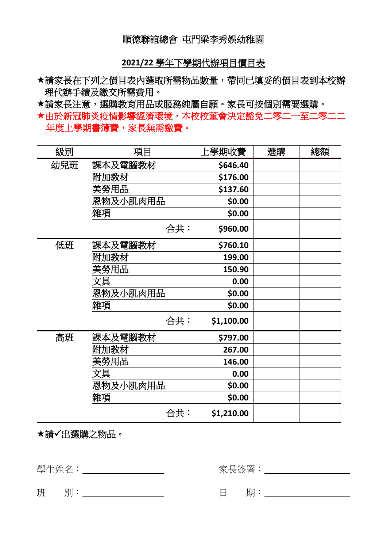## 順德聯誼總會 屯門梁李秀娛幼稚園

**2021/22** 學年下學期代辦項目價目表

請家長在下列之價目表內選取所需物品數量,帶同已填妥的價目表到本校辦 理代辦手續及繳交所需費用。

請家長注意,選購教育用品或服務純屬自願。家長可按個別需要選購。

由於新冠肺炎疫情影響經濟環境,本校校董會決定豁免二零二一至二零二二 年度上學期書簿費,家長無需繳費。

| 級別  | 項目       | 上學期收費      | 選購 | 總額 |
|-----|----------|------------|----|----|
| 幼兒班 | 課本及電腦教材  | \$646.40   |    |    |
|     | 附加教材     | \$176.00   |    |    |
|     | 美勞用品     | \$137.60   |    |    |
|     | 恩物及小肌肉用品 | \$0.00     |    |    |
|     | 雜項       | \$0.00     |    |    |
|     | 合共:      | \$960.00   |    |    |
| 低班  | 課本及電腦教材  | \$760.10   |    |    |
|     | 附加教材     | 199.00     |    |    |
|     | 美勞用品     | 150.90     |    |    |
|     | 文具       | 0.00       |    |    |
|     | 恩物及小肌肉用品 | \$0.00     |    |    |
|     | 雜項       | \$0.00     |    |    |
|     | 合共:      | \$1,100.00 |    |    |
| 高班  | 課本及電腦教材  | \$797.00   |    |    |
|     | 附加教材     | 267.00     |    |    |
|     | 美勞用品     | 146.00     |    |    |
|     | 文具       | 0.00       |    |    |
|     | 恩物及小肌肉用品 | \$0.00     |    |    |
|     | 雜項       | \$0.00     |    |    |
|     | 合共:      | \$1,210.00 |    |    |

請✓出選購之物品。

學生姓名: 2000年 - 2000年 - 2000年 - 2000年 - 家長簽署: 2000年 - 2000年 - 2000年 - 2001年 - 2001年 - 2001年 - 2001年 - 2001年 - 2001年 - 2001年 - 2001年 - 2001年 - 2001年 - 2001年 - 2001年 - 2001年 - 2001年 - 2001年 - 2001年 - 2001年 - 2001年 - 2001年 - 20

**班 別:** 1

| ⊏<br>⊏ | . |  |
|--------|---|--|
|        |   |  |